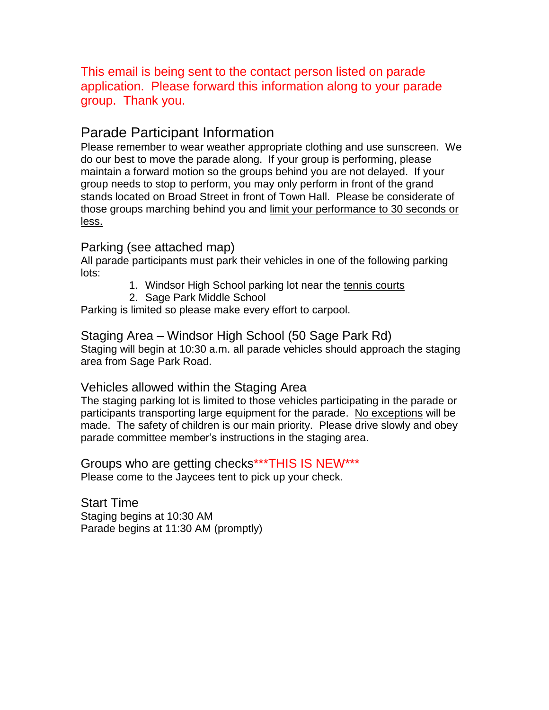This email is being sent to the contact person listed on parade application. Please forward this information along to your parade group. Thank you.

# Parade Participant Information

Please remember to wear weather appropriate clothing and use sunscreen. We do our best to move the parade along. If your group is performing, please maintain a forward motion so the groups behind you are not delayed. If your group needs to stop to perform, you may only perform in front of the grand stands located on Broad Street in front of Town Hall. Please be considerate of those groups marching behind you and limit your performance to 30 seconds or less.

# Parking (see attached map)

All parade participants must park their vehicles in one of the following parking lots:

- 1. Windsor High School parking lot near the tennis courts
- 2. Sage Park Middle School

Parking is limited so please make every effort to carpool.

Staging Area – Windsor High School (50 Sage Park Rd) Staging will begin at 10:30 a.m. all parade vehicles should approach the staging area from Sage Park Road.

# Vehicles allowed within the Staging Area

The staging parking lot is limited to those vehicles participating in the parade or participants transporting large equipment for the parade. No exceptions will be made. The safety of children is our main priority. Please drive slowly and obey parade committee member's instructions in the staging area.

Groups who are getting checks\*\*\*THIS IS NEW\*\*\* Please come to the Jaycees tent to pick up your check.

Start Time Staging begins at 10:30 AM Parade begins at 11:30 AM (promptly)